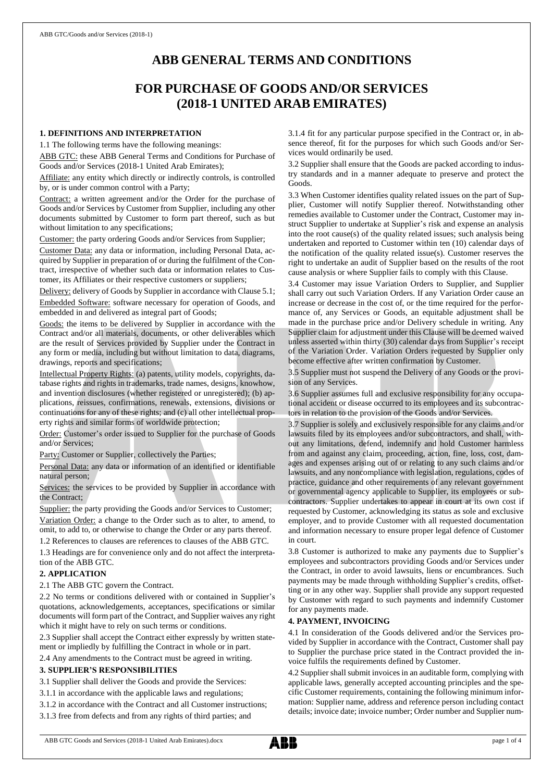# **ABB GENERAL TERMS AND CONDITIONS**

# **FOR PURCHASE OF GOODS AND/OR SERVICES (2018-1 UNITED ARAB EMIRATES)**

### **1. DEFINITIONS AND INTERPRETATION**

1.1 The following terms have the following meanings:

ABB GTC: these ABB General Terms and Conditions for Purchase of Goods and/or Services (2018-1 United Arab Emirates);

Affiliate: any entity which directly or indirectly controls, is controlled by, or is under common control with a Party;

Contract: a written agreement and/or the Order for the purchase of Goods and/or Services by Customer from Supplier, including any other documents submitted by Customer to form part thereof, such as but without limitation to any specifications;

Customer: the party ordering Goods and/or Services from Supplier;

Customer Data: any data or information, including Personal Data, acquired by Supplier in preparation of or during the fulfilment of the Contract, irrespective of whether such data or information relates to Customer, its Affiliates or their respective customers or suppliers;

Delivery: delivery of Goods by Supplier in accordance with Clause 5.1; Embedded Software: software necessary for operation of Goods, and embedded in and delivered as integral part of Goods;

Goods: the items to be delivered by Supplier in accordance with the Contract and/or all materials, documents, or other deliverables which are the result of Services provided by Supplier under the Contract in any form or media, including but without limitation to data, diagrams, drawings, reports and specifications;

Intellectual Property Rights: (a) patents, utility models, copyrights, database rights and rights in trademarks, trade names, designs, knowhow, and invention disclosures (whether registered or unregistered); (b) applications, reissues, confirmations, renewals, extensions, divisions or continuations for any of these rights; and (c) all other intellectual property rights and similar forms of worldwide protection;

Order: Customer's order issued to Supplier for the purchase of Goods and/or Services;

Party: Customer or Supplier, collectively the Parties;

Personal Data: any data or information of an identified or identifiable natural person;

Services: the services to be provided by Supplier in accordance with the Contract;

Supplier: the party providing the Goods and/or Services to Customer; Variation Order: a change to the Order such as to alter, to amend, to omit, to add to, or otherwise to change the Order or any parts thereof.

1.2 References to clauses are references to clauses of the ABB GTC.

1.3 Headings are for convenience only and do not affect the interpretation of the ABB GTC.

# **2. APPLICATION**

2.1 The ABB GTC govern the Contract.

2.2 No terms or conditions delivered with or contained in Supplier's quotations, acknowledgements, acceptances, specifications or similar documents will form part of the Contract, and Supplier waives any right which it might have to rely on such terms or conditions.

2.3 Supplier shall accept the Contract either expressly by written statement or impliedly by fulfilling the Contract in whole or in part.

2.4 Any amendments to the Contract must be agreed in writing.

## **3. SUPPLIER'S RESPONSIBILITIES**

3.1 Supplier shall deliver the Goods and provide the Services:

3.1.1 in accordance with the applicable laws and regulations;

3.1.2 in accordance with the Contract and all Customer instructions;

3.1.3 free from defects and from any rights of third parties; and

3.1.4 fit for any particular purpose specified in the Contract or, in absence thereof, fit for the purposes for which such Goods and/or Services would ordinarily be used.

3.2 Supplier shall ensure that the Goods are packed according to industry standards and in a manner adequate to preserve and protect the Goods.

3.3 When Customer identifies quality related issues on the part of Supplier, Customer will notify Supplier thereof. Notwithstanding other remedies available to Customer under the Contract, Customer may instruct Supplier to undertake at Supplier's risk and expense an analysis into the root cause(s) of the quality related issues; such analysis being undertaken and reported to Customer within ten (10) calendar days of the notification of the quality related issue(s). Customer reserves the right to undertake an audit of Supplier based on the results of the root cause analysis or where Supplier fails to comply with this Clause.

3.4 Customer may issue Variation Orders to Supplier, and Supplier shall carry out such Variation Orders. If any Variation Order cause an increase or decrease in the cost of, or the time required for the performance of, any Services or Goods, an equitable adjustment shall be made in the purchase price and/or Delivery schedule in writing. Any Supplier claim for adjustment under this Clause will be deemed waived unless asserted within thirty (30) calendar days from Supplier's receipt of the Variation Order. Variation Orders requested by Supplier only become effective after written confirmation by Customer.

3.5 Supplier must not suspend the Delivery of any Goods or the provision of any Services.

3.6 Supplier assumes full and exclusive responsibility for any occupational accident or disease occurred to its employees and its subcontractors in relation to the provision of the Goods and/or Services.

3.7 Supplier is solely and exclusively responsible for any claims and/or lawsuits filed by its employees and/or subcontractors, and shall, without any limitations, defend, indemnify and hold Customer harmless from and against any claim, proceeding, action, fine, loss, cost, damages and expenses arising out of or relating to any such claims and/or lawsuits, and any noncompliance with legislation, regulations, codes of practice, guidance and other requirements of any relevant government or governmental agency applicable to Supplier, its employees or subcontractors. Supplier undertakes to appear in court at its own cost if requested by Customer, acknowledging its status as sole and exclusive employer, and to provide Customer with all requested documentation and information necessary to ensure proper legal defence of Customer in court.

3.8 Customer is authorized to make any payments due to Supplier's employees and subcontractors providing Goods and/or Services under the Contract, in order to avoid lawsuits, liens or encumbrances. Such payments may be made through withholding Supplier's credits, offsetting or in any other way. Supplier shall provide any support requested by Customer with regard to such payments and indemnify Customer for any payments made.

#### **4. PAYMENT, INVOICING**

4.1 In consideration of the Goods delivered and/or the Services provided by Supplier in accordance with the Contract, Customer shall pay to Supplier the purchase price stated in the Contract provided the invoice fulfils the requirements defined by Customer.

4.2 Supplier shall submit invoices in an auditable form, complying with applicable laws, generally accepted accounting principles and the specific Customer requirements, containing the following minimum information: Supplier name, address and reference person including contact details; invoice date; invoice number; Order number and Supplier num-

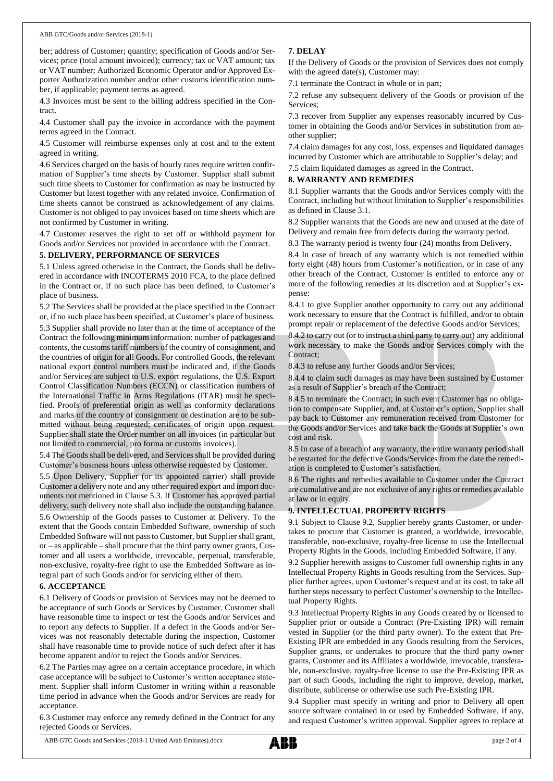ber; address of Customer; quantity; specification of Goods and/or Services; price (total amount invoiced); currency; tax or VAT amount; tax or VAT number; Authorized Economic Operator and/or Approved Exporter Authorization number and/or other customs identification number, if applicable; payment terms as agreed.

4.3 Invoices must be sent to the billing address specified in the Contract.

4.4 Customer shall pay the invoice in accordance with the payment terms agreed in the Contract.

4.5 Customer will reimburse expenses only at cost and to the extent agreed in writing.

4.6 Services charged on the basis of hourly rates require written confirmation of Supplier's time sheets by Customer. Supplier shall submit such time sheets to Customer for confirmation as may be instructed by Customer but latest together with any related invoice. Confirmation of time sheets cannot be construed as acknowledgement of any claims. Customer is not obliged to pay invoices based on time sheets which are not confirmed by Customer in writing.

4.7 Customer reserves the right to set off or withhold payment for Goods and/or Services not provided in accordance with the Contract.

# **5. DELIVERY, PERFORMANCE OF SERVICES**

5.1 Unless agreed otherwise in the Contract, the Goods shall be delivered in accordance with INCOTERMS 2010 FCA, to the place defined in the Contract or, if no such place has been defined, to Customer's place of business.

5.2 The Services shall be provided at the place specified in the Contract or, if no such place has been specified, at Customer's place of business.

5.3 Supplier shall provide no later than at the time of acceptance of the Contract the following minimum information: number of packages and contents, the customs tariff numbers of the country of consignment, and the countries of origin for all Goods. For controlled Goods, the relevant national export control numbers must be indicated and, if the Goods and/or Services are subject to U.S. export regulations, the U.S. Export Control Classification Numbers (ECCN) or classification numbers of the International Traffic in Arms Regulations (ITAR) must be specified. Proofs of preferential origin as well as conformity declarations and marks of the country of consignment or destination are to be submitted without being requested; certificates of origin upon request. Supplier shall state the Order number on all invoices (in particular but not limited to commercial, pro forma or customs invoices).

5.4 The Goods shall be delivered, and Services shall be provided during Customer's business hours unless otherwise requested by Customer.

5.5 Upon Delivery, Supplier (or its appointed carrier) shall provide Customer a delivery note and any other required export and import documents not mentioned in Clause 5.3. If Customer has approved partial delivery, such delivery note shall also include the outstanding balance. 5.6 Ownership of the Goods passes to Customer at Delivery. To the extent that the Goods contain Embedded Software, ownership of such Embedded Software will not passto Customer, but Supplier shall grant, or – as applicable – shall procure that the third party owner grants, Customer and all users a worldwide, irrevocable, perpetual, transferable, non-exclusive, royalty-free right to use the Embedded Software as integral part of such Goods and/or for servicing either of them.

# **6. ACCEPTANCE**

6.1 Delivery of Goods or provision of Services may not be deemed to be acceptance of such Goods or Services by Customer. Customer shall have reasonable time to inspect or test the Goods and/or Services and to report any defects to Supplier. If a defect in the Goods and/or Services was not reasonably detectable during the inspection, Customer shall have reasonable time to provide notice of such defect after it has become apparent and/or to reject the Goods and/or Services.

6.2 The Parties may agree on a certain acceptance procedure, in which case acceptance will be subject to Customer's written acceptance statement. Supplier shall inform Customer in writing within a reasonable time period in advance when the Goods and/or Services are ready for acceptance.

6.3 Customer may enforce any remedy defined in the Contract for any rejected Goods or Services.

# **7. DELAY**

If the Delivery of Goods or the provision of Services does not comply with the agreed date(s), Customer may:

7.1 terminate the Contract in whole or in part;

7.2 refuse any subsequent delivery of the Goods or provision of the Services;

7.3 recover from Supplier any expenses reasonably incurred by Customer in obtaining the Goods and/or Services in substitution from another supplier;

7.4 claim damages for any cost, loss, expenses and liquidated damages incurred by Customer which are attributable to Supplier's delay; and

7.5 claim liquidated damages as agreed in the Contract.

# **8. WARRANTY AND REMEDIES**

8.1 Supplier warrants that the Goods and/or Services comply with the Contract, including but without limitation to Supplier's responsibilities as defined in Clause 3.1.

8.2 Supplier warrants that the Goods are new and unused at the date of Delivery and remain free from defects during the warranty period.

8.3 The warranty period is twenty four (24) months from Delivery.

8.4 In case of breach of any warranty which is not remedied within forty eight (48) hours from Customer's notification, or in case of any other breach of the Contract, Customer is entitled to enforce any or more of the following remedies at its discretion and at Supplier's expense:

8.4.1 to give Supplier another opportunity to carry out any additional work necessary to ensure that the Contract is fulfilled, and/or to obtain prompt repair or replacement of the defective Goods and/or Services;

8.4.2 to carry out (or to instruct a third party to carry out) any additional work necessary to make the Goods and/or Services comply with the Contract;

8.4.3 to refuse any further Goods and/or Services;

8.4.4 to claim such damages as may have been sustained by Customer as a result of Supplier's breach of the Contract;

8.4.5 to terminate the Contract; in such event Customer has no obligation to compensate Supplier, and, at Customer's option, Supplier shall pay back to Customer any remuneration received from Customer for the Goods and/or Services and take back the Goods at Supplier's own cost and risk.

8.5 In case of a breach of any warranty, the entire warranty period shall be restarted for the defective Goods/Services from the date the remediation is completed to Customer's satisfaction.

8.6 The rights and remedies available to Customer under the Contract are cumulative and are not exclusive of any rights or remedies available at law or in equity.

## **9. INTELLECTUAL PROPERTY RIGHTS**

9.1 Subject to Clause 9.2, Supplier hereby grants Customer, or undertakes to procure that Customer is granted, a worldwide, irrevocable, transferable, non-exclusive, royalty-free license to use the Intellectual Property Rights in the Goods, including Embedded Software, if any.

9.2 Supplier herewith assigns to Customer full ownership rights in any Intellectual Property Rights in Goods resulting from the Services. Supplier further agrees, upon Customer's request and at its cost, to take all further steps necessary to perfect Customer's ownership to the Intellectual Property Rights.

9.3 Intellectual Property Rights in any Goods created by or licensed to Supplier prior or outside a Contract (Pre-Existing IPR) will remain vested in Supplier (or the third party owner). To the extent that Pre-Existing IPR are embedded in any Goods resulting from the Services, Supplier grants, or undertakes to procure that the third party owner grants, Customer and its Affiliates a worldwide, irrevocable, transferable, non-exclusive, royalty-free license to use the Pre-Existing IPR as part of such Goods, including the right to improve, develop, market, distribute, sublicense or otherwise use such Pre-Existing IPR.

9.4 Supplier must specify in writing and prior to Delivery all open source software contained in or used by Embedded Software, if any, and request Customer's written approval. Supplier agrees to replace at

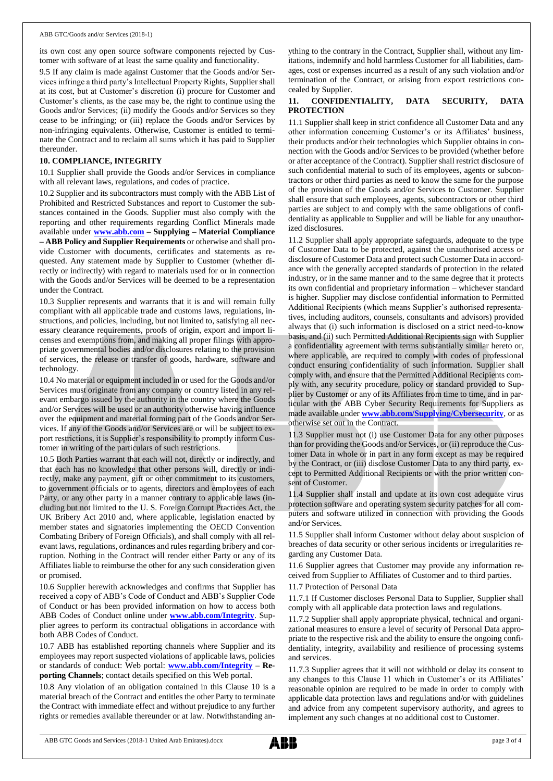its own cost any open source software components rejected by Customer with software of at least the same quality and functionality.

9.5 If any claim is made against Customer that the Goods and/or Services infringe a third party's Intellectual Property Rights, Supplier shall at its cost, but at Customer's discretion (i) procure for Customer and Customer's clients, as the case may be, the right to continue using the Goods and/or Services; (ii) modify the Goods and/or Services so they cease to be infringing; or (iii) replace the Goods and/or Services by non-infringing equivalents. Otherwise, Customer is entitled to terminate the Contract and to reclaim all sums which it has paid to Supplier thereunder.

#### **10. COMPLIANCE, INTEGRITY**

10.1 Supplier shall provide the Goods and/or Services in compliance with all relevant laws, regulations, and codes of practice.

10.2 Supplier and its subcontractors must comply with the ABB List of Prohibited and Restricted Substances and report to Customer the substances contained in the Goods. Supplier must also comply with the reporting and other requirements regarding Conflict Minerals made available under **[www.abb.com](http://www.abb.com/) – Supplying – Material Compliance – ABB Policy and Supplier Requirements** or otherwise and shall provide Customer with documents, certificates and statements as requested. Any statement made by Supplier to Customer (whether directly or indirectly) with regard to materials used for or in connection with the Goods and/or Services will be deemed to be a representation under the Contract.

10.3 Supplier represents and warrants that it is and will remain fully compliant with all applicable trade and customs laws, regulations, instructions, and policies, including, but not limited to, satisfying all necessary clearance requirements, proofs of origin, export and import licenses and exemptions from, and making all proper filings with appropriate governmental bodies and/or disclosures relating to the provision of services, the release or transfer of goods, hardware, software and technology.

10.4 No material or equipment included in or used for the Goods and/or Services must originate from any company or country listed in any relevant embargo issued by the authority in the country where the Goods and/or Services will be used or an authority otherwise having influence over the equipment and material forming part of the Goods and/or Services. If any of the Goods and/or Services are or will be subject to export restrictions, it is Supplier's responsibility to promptly inform Customer in writing of the particulars of such restrictions.

10.5 Both Parties warrant that each will not, directly or indirectly, and that each has no knowledge that other persons will, directly or indirectly, make any payment, gift or other commitment to its customers, to government officials or to agents, directors and employees of each Party, or any other party in a manner contrary to applicable laws (including but not limited to the U. S. Foreign Corrupt Practices Act, the UK Bribery Act 2010 and, where applicable, legislation enacted by member states and signatories implementing the OECD Convention Combating Bribery of Foreign Officials), and shall comply with all relevant laws, regulations, ordinances and rules regarding bribery and corruption. Nothing in the Contract will render either Party or any of its Affiliates liable to reimburse the other for any such consideration given or promised.

10.6 Supplier herewith acknowledges and confirms that Supplier has received a copy of ABB's Code of Conduct and ABB's Supplier Code of Conduct or has been provided information on how to access both ABB Codes of Conduct online under **[www.abb.com/Integrity](http://www.abb.com/Integrity)**. Supplier agrees to perform its contractual obligations in accordance with both ABB Codes of Conduct.

10.7 ABB has established reporting channels where Supplier and its employees may report suspected violations of applicable laws, policies or standards of conduct: Web portal: **[www.abb.com/Integrity](http://www.abb.com/Integrity) – Reporting Channels**; contact details specified on this Web portal.

10.8 Any violation of an obligation contained in this Clause 10 is a material breach of the Contract and entitles the other Party to terminate the Contract with immediate effect and without prejudice to any further rights or remedies available thereunder or at law. Notwithstanding anything to the contrary in the Contract, Supplier shall, without any limitations, indemnify and hold harmless Customer for all liabilities, damages, cost or expenses incurred as a result of any such violation and/or termination of the Contract, or arising from export restrictions concealed by Supplier.

#### **11. CONFIDENTIALITY, DATA SECURITY, DATA PROTECTION**

11.1 Supplier shall keep in strict confidence all Customer Data and any other information concerning Customer's or its Affiliates' business, their products and/or their technologies which Supplier obtains in connection with the Goods and/or Services to be provided (whether before or after acceptance of the Contract). Supplier shall restrict disclosure of such confidential material to such of its employees, agents or subcontractors or other third parties as need to know the same for the purpose of the provision of the Goods and/or Services to Customer. Supplier shall ensure that such employees, agents, subcontractors or other third parties are subject to and comply with the same obligations of confidentiality as applicable to Supplier and will be liable for any unauthorized disclosures.

11.2 Supplier shall apply appropriate safeguards, adequate to the type of Customer Data to be protected, against the unauthorised access or disclosure of Customer Data and protect such Customer Data in accordance with the generally accepted standards of protection in the related industry, or in the same manner and to the same degree that it protects its own confidential and proprietary information – whichever standard is higher. Supplier may disclose confidential information to Permitted Additional Recipients (which means Supplier's authorised representatives, including auditors, counsels, consultants and advisors) provided always that (i) such information is disclosed on a strict need-to-know basis, and (ii) such Permitted Additional Recipients sign with Supplier a confidentiality agreement with terms substantially similar hereto or, where applicable, are required to comply with codes of professional conduct ensuring confidentiality of such information. Supplier shall comply with, and ensure that the Permitted Additional Recipients comply with, any security procedure, policy or standard provided to Supplier by Customer or any of its Affiliates from time to time, and in particular with the ABB Cyber Security Requirements for Suppliers as made available under **[www.abb.com/Supplying/Cybersecurity](http://www.abb.com/Supplying/Cybersecurity)**, or as otherwise set out in the Contract.

11.3 Supplier must not (i) use Customer Data for any other purposes than for providing the Goods and/or Services, or (ii) reproduce the Customer Data in whole or in part in any form except as may be required by the Contract, or (iii) disclose Customer Data to any third party, except to Permitted Additional Recipients or with the prior written consent of Customer.

11.4 Supplier shall install and update at its own cost adequate virus protection software and operating system security patches for all computers and software utilized in connection with providing the Goods and/or Services.

11.5 Supplier shall inform Customer without delay about suspicion of breaches of data security or other serious incidents or irregularities regarding any Customer Data.

11.6 Supplier agrees that Customer may provide any information received from Supplier to Affiliates of Customer and to third parties.

11.7 Protection of Personal Data

11.7.1 If Customer discloses Personal Data to Supplier, Supplier shall comply with all applicable data protection laws and regulations.

11.7.2 Supplier shall apply appropriate physical, technical and organizational measures to ensure a level of security of Personal Data appropriate to the respective risk and the ability to ensure the ongoing confidentiality, integrity, availability and resilience of processing systems and services.

11.7.3 Supplier agrees that it will not withhold or delay its consent to any changes to this Clause 11 which in Customer's or its Affiliates' reasonable opinion are required to be made in order to comply with applicable data protection laws and regulations and/or with guidelines and advice from any competent supervisory authority, and agrees to implement any such changes at no additional cost to Customer.